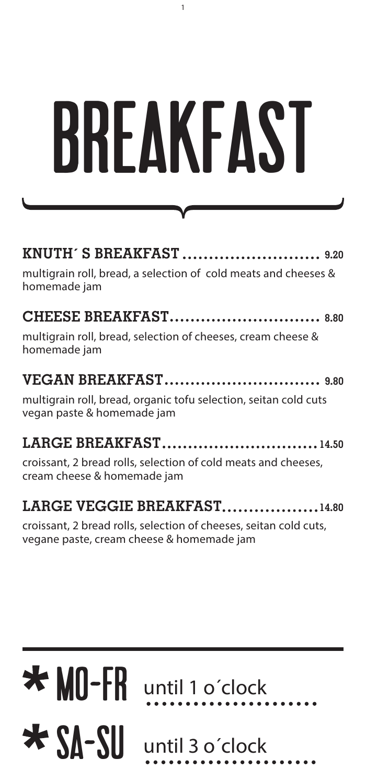| BREAKFAST |  |
|-----------|--|
|           |  |

1

| multigrain roll, bread, a selection of cold meats and cheeses &<br>homemade jam |  |
|---------------------------------------------------------------------------------|--|

| multigrain roll, bread, selection of cheeses, cream cheese &<br>homemade jam                   |
|------------------------------------------------------------------------------------------------|
|                                                                                                |
|                                                                                                |
| multigrain roll, bread, organic tofu selection, seitan cold cuts<br>vegan paste & homemade jam |

**LARGE BREAKFAST 14.50** croissant, 2 bread rolls, selection of cold meats and cheeses, cream cheese & homemade jam

#### **LARGE VEGGIE BREAKFAST..................14.80**

croissant, 2 bread rolls, selection of cheeses, seitan cold cuts, vegane paste, cream cheese & homemade jam

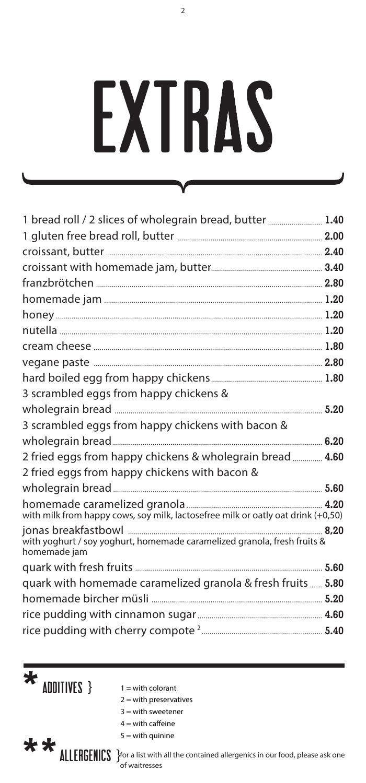## EXTRAS

 $\overline{2}$ 

| 1 bread roll / 2 slices of wholegrain bread, butter  1.40                                |  |
|------------------------------------------------------------------------------------------|--|
|                                                                                          |  |
|                                                                                          |  |
|                                                                                          |  |
|                                                                                          |  |
|                                                                                          |  |
|                                                                                          |  |
|                                                                                          |  |
|                                                                                          |  |
|                                                                                          |  |
|                                                                                          |  |
| 3 scrambled eggs from happy chickens &                                                   |  |
|                                                                                          |  |
| 3 scrambled eggs from happy chickens with bacon &                                        |  |
|                                                                                          |  |
| 2 fried eggs from happy chickens & wholegrain bread  4.60                                |  |
| 2 fried eggs from happy chickens with bacon &                                            |  |
|                                                                                          |  |
| with milk from happy cows, soy milk, lactosefree milk or oatly oat drink (+0,50)         |  |
| with yoghurt / soy yoghurt, homemade caramelized granola, fresh fruits &<br>homemade jam |  |
|                                                                                          |  |
| quark with homemade caramelized granola & fresh fruits  5.80                             |  |
|                                                                                          |  |
|                                                                                          |  |
|                                                                                          |  |

- $\star$  ADDITIVES }  $1 = \text{with colorant}$ 
	-
	- $2 =$  with preservatives
	- $3 =$  with sweetener
		- $4 =$  with caffeine  $5 =$  with quinine
- \*\*

**ALLERGENICS** For a list with all the contained allergenics in our food, please ask one of waitresses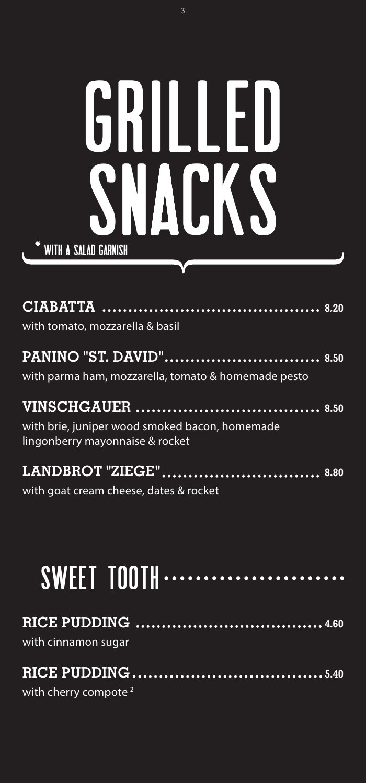### **SNACKS** GRILLED WITH A Salad garnish

| with tomato, mozzarella & basil                                                   |  |
|-----------------------------------------------------------------------------------|--|
| with parma ham, mozzarella, tomato & homemade pesto                               |  |
| with brie, juniper wood smoked bacon, homemade<br>lingonberry mayonnaise & rocket |  |
| with goat cream cheese, dates & rocket                                            |  |

### SWEET TOOTH ....

with cinnamon sugar

#### **RICE PUDDING 5.40**

with cherry compote<sup>2</sup>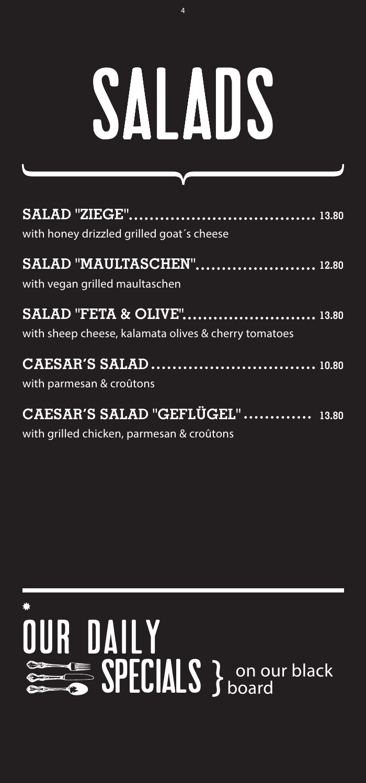## SALADS

| with honey drizzled grilled goat's cheese                                                     |  |
|-----------------------------------------------------------------------------------------------|--|
| SALAD "MAULTASCHEN" 12.80<br>with vegan grilled maultaschen                                   |  |
| <b>SALAD "FETA &amp; OLIVE"</b> 13.80<br>with sheep cheese, kalamata olives & cherry tomatoes |  |
| with parmesan & croûtons                                                                      |  |
| CAESAR'S SALAD "GEFLÜGEL"  13.80<br>with grilled chicken, parmesan & croûtons                 |  |

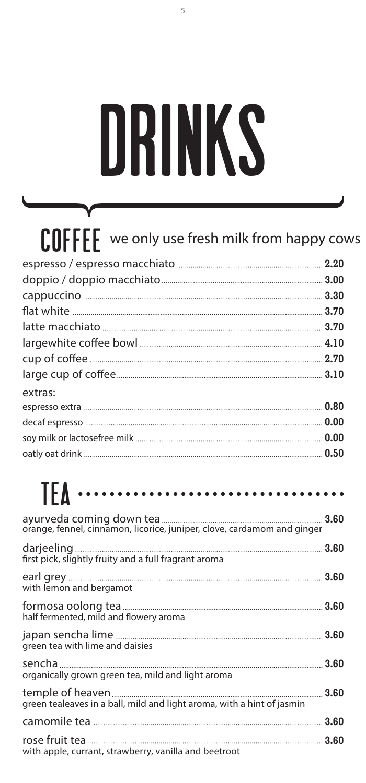## drinks

| extras: |  |
|---------|--|
|         |  |
|         |  |
|         |  |
|         |  |
|         |  |

#### TEA $\cdots$

| first pick, slightly fruity and a full fragrant aroma                  |  |
|------------------------------------------------------------------------|--|
| with lemon and bergamot                                                |  |
| half fermented, mild and flowery aroma                                 |  |
| green tea with lime and daisies                                        |  |
| organically grown green tea, mild and light aroma                      |  |
| green tealeaves in a ball, mild and light aroma, with a hint of jasmin |  |
|                                                                        |  |
| with apple, currant, strawberry, vanilla and beetroot                  |  |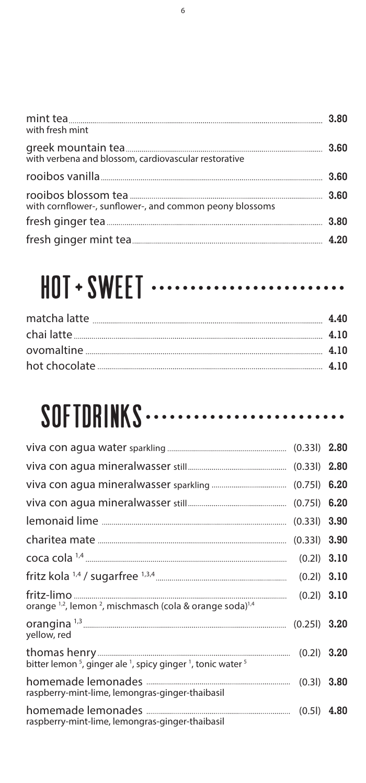| with fresh mint                                         |  |
|---------------------------------------------------------|--|
| with verbena and blossom, cardiovascular restorative    |  |
|                                                         |  |
| with cornflower-, sunflower-, and common peony blossoms |  |
|                                                         |  |
|                                                         |  |

### HOT + SWEET ............................

#### SOFTDRINKS ...........................

| orange <sup>1,2</sup> , lemon <sup>2</sup> , mischmasch (cola & orange soda) <sup>1,4</sup>                |  |
|------------------------------------------------------------------------------------------------------------|--|
| yellow, red                                                                                                |  |
| bitter lemon <sup>5</sup> , ginger ale <sup>1</sup> , spicy ginger <sup>1</sup> , tonic water <sup>5</sup> |  |
| raspberry-mint-lime, lemongras-ginger-thaibasil                                                            |  |
| raspberry-mint-lime, lemongras-ginger-thaibasil                                                            |  |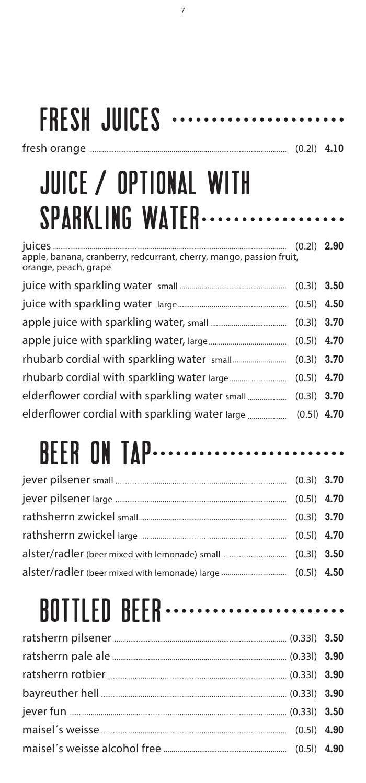#### fresh orange (0.2l) **4.10** FRESH JUICES .......................

7

#### juice / optional with SPARKLING WATER...................

| apple, banana, cranberry, redcurrant, cherry, mango, passion fruit,<br>orange, peach, grape |  |
|---------------------------------------------------------------------------------------------|--|
|                                                                                             |  |
|                                                                                             |  |
|                                                                                             |  |
|                                                                                             |  |
|                                                                                             |  |
|                                                                                             |  |
|                                                                                             |  |
| elderflower cordial with sparkling water large  (0.51) 4.70                                 |  |

#### **BEER ON TAP..........................**

#### **BOTTLED BEER** .........................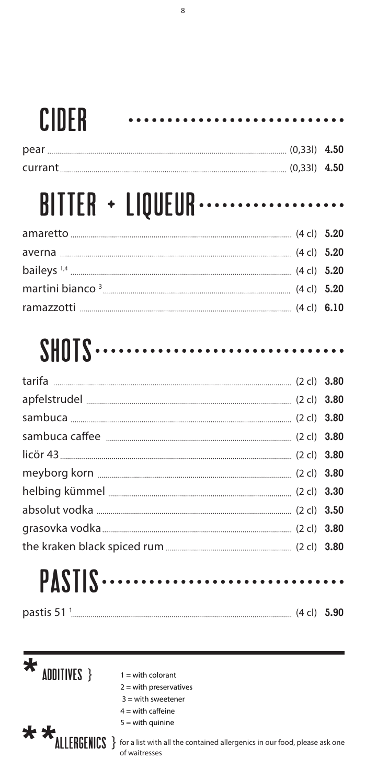#### Cider

#### BITTER + LIQUEUR ·····················

...................

#### $SHOIS$ ......

#### PASTIS ......

| pastis 51 |
|-----------|
|-----------|

 $\bigstar$  ADDITIVES }  $1 = \text{with colorant}$ 

- 
- 2 = with preservatives  $3$  = with sweetener
- 
- $4 =$  with caffeine  $5 =$  with quinine

**\*\*\*** MITERGENICS } for a list with all the contained allergenics in our food, please ask one of waitresses

....................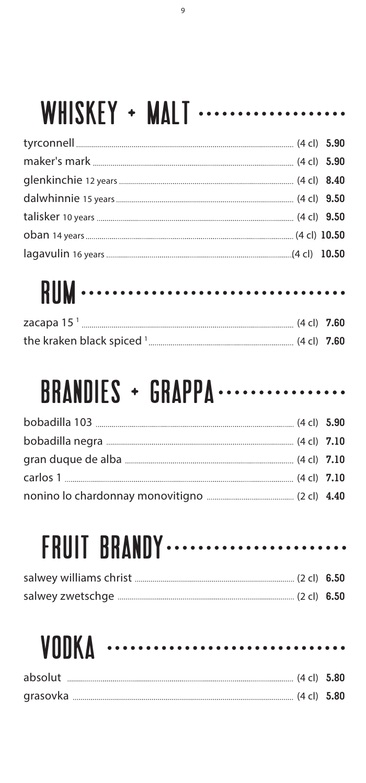#### WHISKEY + MALT ....................

### rum

| zacapa 15 $1$<br>$(4 \text{ cl}) \quad 7.60$ |  |
|----------------------------------------------|--|
| the kraken black spiced $^1$ .               |  |

#### BRANDIES + GRAPPA .................

### **FRUIT BRANDY** .........................

#### **VODKA ...............................**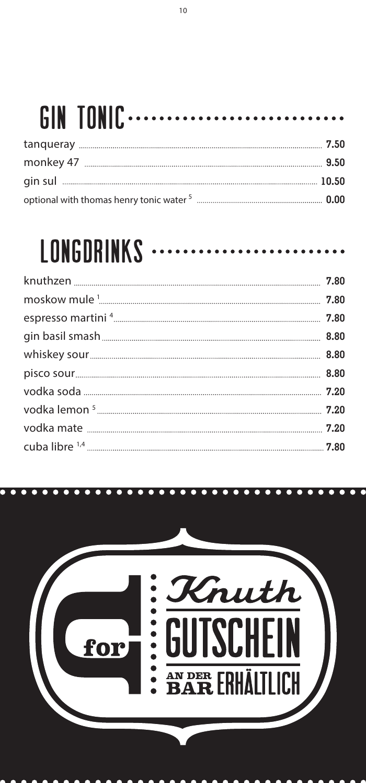#### **GIN TONIC**  $\cdot$

#### **LONGDRINKS**

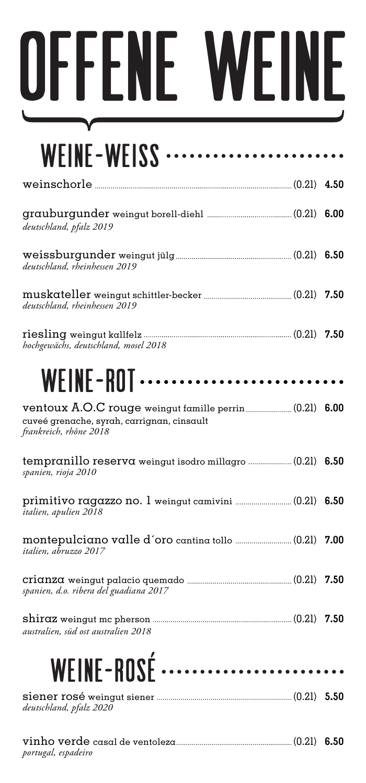# offene weine

| WEINE-WEISS $\cdots$                                                 |  |
|----------------------------------------------------------------------|--|
|                                                                      |  |
| deutschland, pfalz 2019                                              |  |
| deutschland, rheinhessen 2019                                        |  |
| deutschland, rheinhessen 2019                                        |  |
| hochgewächs, deutschland, mosel 2018                                 |  |
| WEINE-ROT……………………                                                    |  |
| cuveé grenache, syrah, carrignan, cinsault<br>frankreich, rhône 2018 |  |
| spanien, rioja 2010                                                  |  |
| italien, apulien 2018                                                |  |
| italien, abruzzo 2017                                                |  |
| spanien, d.o. ribera del guadiana 2017                               |  |
| australien, süd ost australien 2018                                  |  |
| WEINE-ROSÉ                                                           |  |
| deutschland, pfalz 2020                                              |  |

vinho verde casal de ventoleza(0.2l) **6.50** *portugal, espadeiro*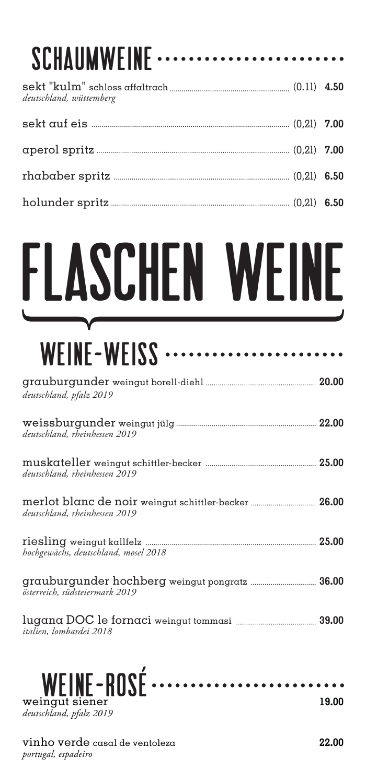| SCHAUMWEINE             |  |
|-------------------------|--|
| deutschland, wüttemberg |  |
|                         |  |
|                         |  |
|                         |  |
|                         |  |

## flaschen weine

#### weine-weiss

| deutschland, pfalz 2019              |  |
|--------------------------------------|--|
| deutschland, rheinhessen 2019        |  |
| deutschland, rheinhessen 2019        |  |
| deutschland, rheinhessen 2019        |  |
| hochgewächs, deutschland, mosel 2018 |  |
| österreich, südsteiermark 2019       |  |
| italien, lombardei 2018              |  |



vinho verde casal de ventoleza **22.00** *portugal, espadeiro*

 $-0$